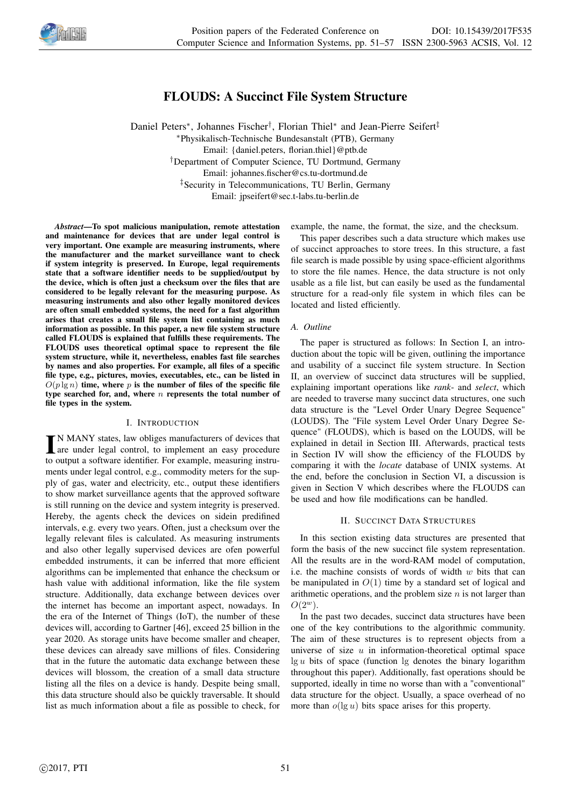

# FLOUDS: A Succinct File System Structure

Daniel Peters<sup>\*</sup>, Johannes Fischer<sup>†</sup>, Florian Thiel<sup>\*</sup> and Jean-Pierre Seifert<sup>‡</sup> <sup>∗</sup>Physikalisch-Technische Bundesanstalt (PTB), Germany Email: {daniel.peters, florian.thiel}@ptb.de †Department of Computer Science, TU Dortmund, Germany Email: johannes.fischer@cs.tu-dortmund.de ‡Security in Telecommunications, TU Berlin, Germany Email: jpseifert@sec.t-labs.tu-berlin.de

*Abstract*—To spot malicious manipulation, remote attestation and maintenance for devices that are under legal control is very important. One example are measuring instruments, where the manufacturer and the market surveillance want to check if system integrity is preserved. In Europe, legal requirements state that a software identifier needs to be supplied/output by the device, which is often just a checksum over the files that are considered to be legally relevant for the measuring purpose. As measuring instruments and also other legally monitored devices are often small embedded systems, the need for a fast algorithm arises that creates a small file system list containing as much information as possible. In this paper, a new file system structure called FLOUDS is explained that fulfills these requirements. The FLOUDS uses theoretical optimal space to represent the file system structure, while it, nevertheless, enables fast file searches by names and also properties. For example, all files of a specific file type, e.g., pictures, movies, executables, etc., can be listed in  $O(p \lg n)$  time, where p is the number of files of the specific file type searched for, and, where  $n$  represents the total number of file types in the system.

### I. INTRODUCTION

IN MANY states, law obliges manufacturers of devices that<br>are under legal control, to implement an easy procedure  $\blacksquare$  N MANY states, law obliges manufacturers of devices that to output a software identifier. For example, measuring instruments under legal control, e.g., commodity meters for the supply of gas, water and electricity, etc., output these identifiers to show market surveillance agents that the approved software is still running on the device and system integrity is preserved. Hereby, the agents check the devices on sidein predifined intervals, e.g. every two years. Often, just a checksum over the legally relevant files is calculated. As measuring instruments and also other legally supervised devices are ofen powerful embedded instruments, it can be inferred that more efficient algorithms can be implemented that enhance the checksum or hash value with additional information, like the file system structure. Additionally, data exchange between devices over the internet has become an important aspect, nowadays. In the era of the Internet of Things (IoT), the number of these devices will, according to Gartner [46], exceed 25 billion in the year 2020. As storage units have become smaller and cheaper, these devices can already save millions of files. Considering that in the future the automatic data exchange between these devices will blossom, the creation of a small data structure listing all the files on a device is handy. Despite being small, this data structure should also be quickly traversable. It should list as much information about a file as possible to check, for

example, the name, the format, the size, and the checksum.

This paper describes such a data structure which makes use of succinct approaches to store trees. In this structure, a fast file search is made possible by using space-efficient algorithms to store the file names. Hence, the data structure is not only usable as a file list, but can easily be used as the fundamental structure for a read-only file system in which files can be located and listed efficiently.

# *A. Outline*

The paper is structured as follows: In Section I, an introduction about the topic will be given, outlining the importance and usability of a succinct file system structure. In Section II, an overview of succinct data structures will be supplied, explaining important operations like *rank*- and *select*, which are needed to traverse many succinct data structures, one such data structure is the "Level Order Unary Degree Sequence" (LOUDS). The "File system Level Order Unary Degree Sequence" (FLOUDS), which is based on the LOUDS, will be explained in detail in Section III. Afterwards, practical tests in Section IV will show the efficiency of the FLOUDS by comparing it with the *locate* database of UNIX systems. At the end, before the conclusion in Section VI, a discussion is given in Section V which describes where the FLOUDS can be used and how file modifications can be handled.

# II. SUCCINCT DATA STRUCTURES

In this section existing data structures are presented that form the basis of the new succinct file system representation. All the results are in the word-RAM model of computation, i.e. the machine consists of words of width  $w$  bits that can be manipulated in  $O(1)$  time by a standard set of logical and arithmetic operations, and the problem size  $n$  is not larger than  $O(2^w)$ .

In the past two decades, succinct data structures have been one of the key contributions to the algorithmic community. The aim of these structures is to represent objects from a universe of size  $u$  in information-theoretical optimal space  $\lg u$  bits of space (function  $\lg$  denotes the binary logarithm throughout this paper). Additionally, fast operations should be supported, ideally in time no worse than with a "conventional" data structure for the object. Usually, a space overhead of no more than  $o(\lg u)$  bits space arises for this property.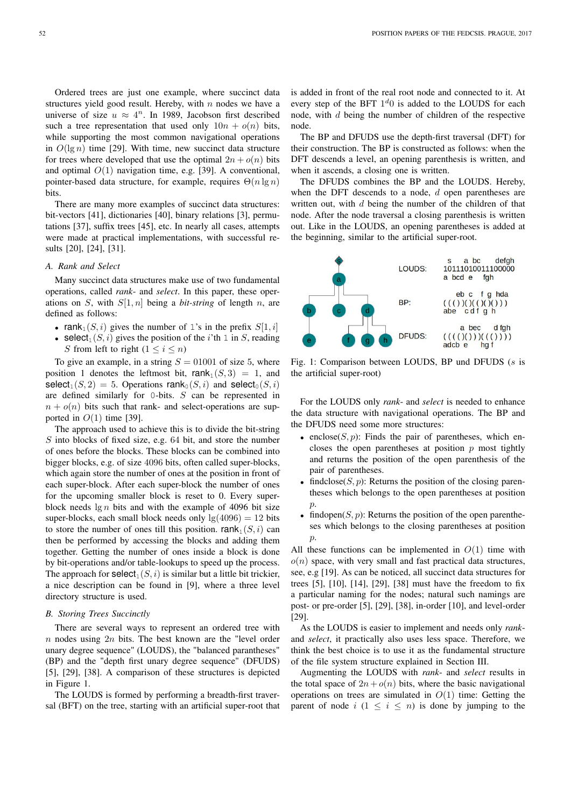Ordered trees are just one example, where succinct data structures yield good result. Hereby, with  $n$  nodes we have a universe of size  $u \approx 4^n$ . In 1989, Jacobson first described such a tree representation that used only  $10n + o(n)$  bits, while supporting the most common navigational operations in  $O(\lg n)$  time [29]. With time, new succinct data structure for trees where developed that use the optimal  $2n + o(n)$  bits and optimal  $O(1)$  navigation time, e.g. [39]. A conventional, pointer-based data structure, for example, requires  $\Theta(n \lg n)$ bits.

There are many more examples of succinct data structures: bit-vectors [41], dictionaries [40], binary relations [3], permutations [37], suffix trees [45], etc. In nearly all cases, attempts were made at practical implementations, with successful results [20], [24], [31].

# *A. Rank and Select*

Many succinct data structures make use of two fundamental operations, called *rank*- and *select*. In this paper, these operations on S, with  $S[1, n]$  being a *bit-string* of length n, are defined as follows:

- rank<sub>1</sub> $(S, i)$  gives the number of 1's in the prefix  $S[1, i]$
- select<sub>1</sub> $(S, i)$  gives the position of the i'th 1 in S, reading S from left to right  $(1 \le i \le n)$

To give an example, in a string  $S = 01001$  of size 5, where position 1 denotes the leftmost bit, rank $_1(S, 3) = 1$ , and select<sub>1</sub>(S, 2) = 5. Operations rank<sub>0</sub>(S, i) and select<sub>0</sub>(S, i) are defined similarly for 0-bits. S can be represented in  $n + o(n)$  bits such that rank- and select-operations are supported in  $O(1)$  time [39].

The approach used to achieve this is to divide the bit-string S into blocks of fixed size, e.g. 64 bit, and store the number of ones before the blocks. These blocks can be combined into bigger blocks, e.g. of size 4096 bits, often called super-blocks, which again store the number of ones at the position in front of each super-block. After each super-block the number of ones for the upcoming smaller block is reset to 0. Every superblock needs  $\lg n$  bits and with the example of 4096 bit size super-blocks, each small block needs only  $\lg(4096) = 12$  bits to store the number of ones till this position. rank<sub>1</sub> $(S, i)$  can then be performed by accessing the blocks and adding them together. Getting the number of ones inside a block is done by bit-operations and/or table-lookups to speed up the process. The approach for  $\text{select}_1(S, i)$  is similar but a little bit trickier, a nice description can be found in [9], where a three level directory structure is used.

### *B. Storing Trees Succinctly*

There are several ways to represent an ordered tree with  $n$  nodes using  $2n$  bits. The best known are the "level order unary degree sequence" (LOUDS), the "balanced parantheses" (BP) and the "depth first unary degree sequence" (DFUDS) [5], [29], [38]. A comparison of these structures is depicted in Figure 1.

The LOUDS is formed by performing a breadth-first traversal (BFT) on the tree, starting with an artificial super-root that is added in front of the real root node and connected to it. At every step of the BFT  $1<sup>d</sup>0$  is added to the LOUDS for each node, with d being the number of children of the respective node.

The BP and DFUDS use the depth-first traversal (DFT) for their construction. The BP is constructed as follows: when the DFT descends a level, an opening parenthesis is written, and when it ascends, a closing one is written.

The DFUDS combines the BP and the LOUDS. Hereby, when the DFT descends to a node,  $d$  open parentheses are written out, with  $d$  being the number of the children of that node. After the node traversal a closing parenthesis is written out. Like in the LOUDS, an opening parentheses is added at the beginning, similar to the artificial super-root.



Fig. 1: Comparison between LOUDS, BP und DFUDS (s is the artificial super-root)

For the LOUDS only *rank*- and *select* is needed to enhance the data structure with navigational operations. The BP and the DFUDS need some more structures:

- enclose( $S$ ,  $p$ ): Finds the pair of parentheses, which encloses the open parentheses at position  $p$  most tightly and returns the position of the open parenthesis of the pair of parentheses.
- findclose( $S, p$ ): Returns the position of the closing parentheses which belongs to the open parentheses at position  $\hat{p}$ .
- findopen $(S, p)$ : Returns the position of the open parentheses which belongs to the closing parentheses at position  $\mathcal{D}$ .

All these functions can be implemented in  $O(1)$  time with  $o(n)$  space, with very small and fast practical data structures, see, e.g [19]. As can be noticed, all succinct data structures for trees [5], [10], [14], [29], [38] must have the freedom to fix a particular naming for the nodes; natural such namings are post- or pre-order [5], [29], [38], in-order [10], and level-order [29].

As the LOUDS is easier to implement and needs only *rank*and *select*, it practically also uses less space. Therefore, we think the best choice is to use it as the fundamental structure of the file system structure explained in Section III.

Augmenting the LOUDS with *rank*- and *select* results in the total space of  $2n + o(n)$  bits, where the basic navigational operations on trees are simulated in  $O(1)$  time: Getting the parent of node  $i$  ( $1 \leq i \leq n$ ) is done by jumping to the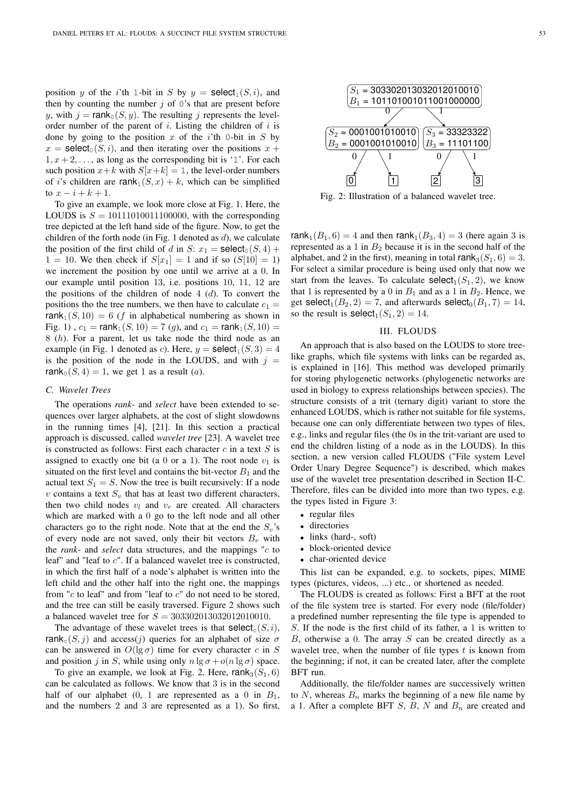position y of the i'th 1-bit in S by  $y = \text{select}_1(S, i)$ , and then by counting the number  $j$  of 0's that are present before y, with  $j = \text{rank}_{0}(S, y)$ . The resulting j represents the levelorder number of the parent of i. Listing the children of i is done by going to the position  $x$  of the i'th 0-bit in  $S$  by  $x = \text{select}_0(S, i)$ , and then iterating over the positions  $x +$  $1, x + 2, \ldots$ , as long as the corresponding bit is '1'. For each such position  $x+k$  with  $S[x+k] = 1$ , the level-order numbers of i's children are rank<sub>1</sub> $(S, x) + k$ , which can be simplified to  $x - i + k + 1$ .

To give an example, we look more close at Fig. 1. Here, the LOUDS is  $S = 10111010011100000$ , with the corresponding tree depicted at the left hand side of the figure. Now, to get the children of the forth node (in Fig. 1 denoted as  $d$ ), we calculate the position of the first child of d in S:  $x_1 = \text{select}_0(S, 4) +$  $1 = 10$ . We then check if  $S[x_1] = 1$  and if so  $(S[10] = 1)$ we increment the position by one until we arrive at a 0. In our example until position 13, i.e. positions 10, 11, 12 are the positions of the children of node  $4(d)$ . To convert the positions tho the tree numbers, we then have to calculate  $c_1$  = rank<sub>1</sub> $(S, 10) = 6$  (f in alphabetical numbering as shown in Fig. 1),  $c_1 = \text{rank}_1(S, 10) = 7$  (g), and  $c_1 = \text{rank}_1(S, 10) =$ 8 (h). For a parent, let us take node the third node as an example (in Fig. 1 denoted as c). Here,  $y = \text{select}_1(S, 3) = 4$ is the position of the node in the LOUDS, and with  $j =$ rank<sub>0</sub> $(S, 4) = 1$ , we get 1 as a result (*a*).

### *C. Wavelet Trees*

The operations *rank*- and *select* have been extended to sequences over larger alphabets, at the cost of slight slowdowns in the running times [4], [21]. In this section a practical approach is discussed, called *wavelet tree* [23]. A wavelet tree is constructed as follows: First each character  $c$  in a text  $S$  is assigned to exactly one bit (a 0 or a 1). The root node  $v_1$  is situated on the first level and contains the bit-vector  $B_1$  and the actual text  $S_1 = S$ . Now the tree is built recursively: If a node v contains a text  $S_v$  that has at least two different characters, then two child nodes  $v_l$  and  $v_r$  are created. All characters which are marked with a 0 go to the left node and all other characters go to the right node. Note that at the end the  $S_v$ 's of every node are not saved, only their bit vectors  $B_v$  with the *rank*- and *select* data structures, and the mappings "c to leaf" and "leaf to c". If a balanced wavelet tree is constructed, in which the first half of a node's alphabet is written into the left child and the other half into the right one, the mappings from " $c$  to leaf" and from "leaf to  $c$ " do not need to be stored, and the tree can still be easily traversed. Figure 2 shows such a balanced wavelet tree for  $S = 303302013032012010010$ .

The advantage of these wavelet trees is that  $\text{select}_{c}(S, i)$ , rank $c(S, j)$  and access(j) queries for an alphabet of size  $\sigma$ can be answered in  $O(\lg \sigma)$  time for every character c in S and position j in S, while using only  $n \lg \sigma + o(n \lg \sigma)$  space.

To give an example, we look at Fig. 2. Here, rank<sub>3</sub>( $S_1$ , 6) can be calculated as follows. We know that 3 is in the second half of our alphabet  $(0, 1$  are represented as a 0 in  $B_1$ , and the numbers 2 and 3 are represented as a 1). So first,



Fig. 2: Illustration of a balanced wavelet tree.

rank<sub>1</sub>( $B_1$ , 6) = 4 and then rank<sub>1</sub>( $B_3$ , 4) = 3 (here again 3 is represented as a 1 in  $B_2$  because it is in the second half of the alphabet, and 2 in the first), meaning in total rank<sub>3</sub>( $S_1$ , 6) = 3. For select a similar procedure is being used only that now we start from the leaves. To calculate  $\text{select}_1(S_1, 2)$ , we know that 1 is represented by a 0 in  $B_1$  and as a 1 in  $B_2$ . Hence, we get select<sub>1</sub> $(B_2, 2) = 7$ , and afterwards select<sub>0</sub> $(B_1, 7) = 14$ , so the result is  $\text{select}_1(S_1, 2) = 14.$ 

# III. FLOUDS

An approach that is also based on the LOUDS to store treelike graphs, which file systems with links can be regarded as, is explained in [16]. This method was developed primarily for storing phylogenetic networks (phylogenetic networks are used in biology to express relationships between species). The structure consists of a trit (ternary digit) variant to store the enhanced LOUDS, which is rather not suitable for file systems, because one can only differentiate between two types of files, e.g., links and regular files (the 0s in the trit-variant are used to end the children listing of a node as in the LOUDS). In this section, a new version called FLOUDS ("File system Level Order Unary Degree Sequence") is described, which makes use of the wavelet tree presentation described in Section II-C. Therefore, files can be divided into more than two types, e.g. the types listed in Figure 3:

- regular files
- directories
- links (hard-, soft)
- block-oriented device
- char-oriented device

This list can be expanded, e.g. to sockets, pipes, MIME types (pictures, videos, ...) etc., or shortened as needed.

The FLOUDS is created as follows: First a BFT at the root of the file system tree is started. For every node (file/folder) a predefined number representing the file type is appended to S. If the node is the first child of its father, a 1 is written to B, otherwise a 0. The array  $S$  can be created directly as a wavelet tree, when the number of file types  $t$  is known from the beginning; if not, it can be created later, after the complete BFT run.

Additionally, the file/folder names are successively written to  $N$ , whereas  $B_n$  marks the beginning of a new file name by a 1. After a complete BFT  $S$ ,  $B$ ,  $N$  and  $B_n$  are created and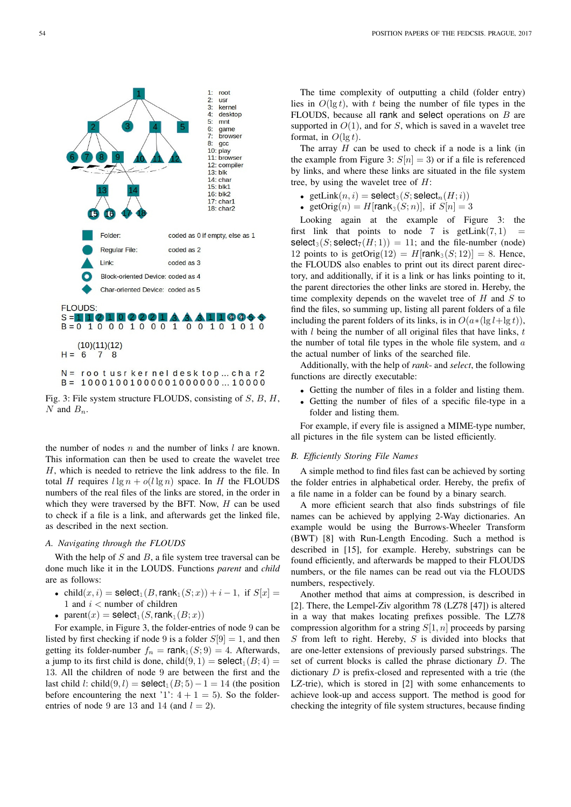

Fig. 3: File system structure FLOUDS, consisting of S, B, H, N and  $B_n$ .

the number of nodes  $n$  and the number of links  $l$  are known. This information can then be used to create the wavelet tree H, which is needed to retrieve the link address to the file. In total H requires  $l \lg n + o(l \lg n)$  space. In H the FLOUDS numbers of the real files of the links are stored, in the order in which they were traversed by the BFT. Now,  $H$  can be used to check if a file is a link, and afterwards get the linked file, as described in the next section.

# *A. Navigating through the FLOUDS*

With the help of  $S$  and  $B$ , a file system tree traversal can be done much like it in the LOUDS. Functions *parent* and *child* are as follows:

- child $(x, i)$  = select<sub>1</sub> $(B, \text{rank}_1(S; x)) + i 1$ , if  $S[x]$  = 1 and  $i <$  number of children
- parent $(x)$  = select<sub>1</sub> $(S, \text{rank}_1(B; x))$

For example, in Figure 3, the folder-entries of node 9 can be listed by first checking if node 9 is a folder  $S[9] = 1$ , and then getting its folder-number  $f_n = \text{rank}_1(S; 9) = 4$ . Afterwards, a jump to its first child is done, child $(9, 1)$  = select<sub>1</sub> $(B; 4)$  = 13. All the children of node 9 are between the first and the last child l: child $(9, l)$  = select<sub>1</sub> $(B; 5) - 1 = 14$  (the position before encountering the next '1':  $4 + 1 = 5$ ). So the folderentries of node 9 are 13 and 14 (and  $l = 2$ ).

The time complexity of outputting a child (folder entry) lies in  $O(\lg t)$ , with t being the number of file types in the FLOUDS, because all rank and select operations on B are supported in  $O(1)$ , and for S, which is saved in a wavelet tree format, in  $O(\lg t)$ .

The array  $H$  can be used to check if a node is a link (in the example from Figure 3:  $S[n] = 3$  or if a file is referenced by links, and where these links are situated in the file system tree, by using the wavelet tree of  $H$ :

- getLink $(n, i)$  = select<sub>3</sub>(S; select<sub>n</sub> $(H; i)$ )
- getOrig $(n) = H$ [rank<sub>3</sub> $(S; n)$ ], if  $S[n] = 3$

Looking again at the example of Figure 3: the first link that points to node 7 is  $getLink(7, 1)$ select<sub>3</sub>(S; select<sub>7</sub>(H; 1)) = 11; and the file-number (node) 12 points to is getOrig(12) =  $H$ [rank<sub>3</sub>(S; 12)] = 8. Hence, the FLOUDS also enables to print out its direct parent directory, and additionally, if it is a link or has links pointing to it, the parent directories the other links are stored in. Hereby, the time complexity depends on the wavelet tree of  $H$  and  $S$  to find the files, so summing up, listing all parent folders of a file including the parent folders of its links, is in  $O(a*(\lg l+\lg t))$ , with  $l$  being the number of all original files that have links,  $t$ the number of total file types in the whole file system, and  $a$ the actual number of links of the searched file.

Additionally, with the help of *rank*- and *select*, the following functions are directly executable:

- Getting the number of files in a folder and listing them.
- Getting the number of files of a specific file-type in a folder and listing them.

For example, if every file is assigned a MIME-type number, all pictures in the file system can be listed efficiently.

# *B. Efficiently Storing File Names*

A simple method to find files fast can be achieved by sorting the folder entries in alphabetical order. Hereby, the prefix of a file name in a folder can be found by a binary search.

A more efficient search that also finds substrings of file names can be achieved by applying 2-Way dictionaries. An example would be using the Burrows-Wheeler Transform (BWT) [8] with Run-Length Encoding. Such a method is described in [15], for example. Hereby, substrings can be found efficiently, and afterwards be mapped to their FLOUDS numbers, or the file names can be read out via the FLOUDS numbers, respectively.

Another method that aims at compression, is described in [2]. There, the Lempel-Ziv algorithm 78 (LZ78 [47]) is altered in a way that makes locating prefixes possible. The LZ78 compression algorithm for a string  $S[1, n]$  proceeds by parsing  $S$  from left to right. Hereby,  $S$  is divided into blocks that are one-letter extensions of previously parsed substrings. The set of current blocks is called the phrase dictionary D. The dictionary D is prefix-closed and represented with a trie (the LZ-trie), which is stored in [2] with some enhancements to achieve look-up and access support. The method is good for checking the integrity of file system structures, because finding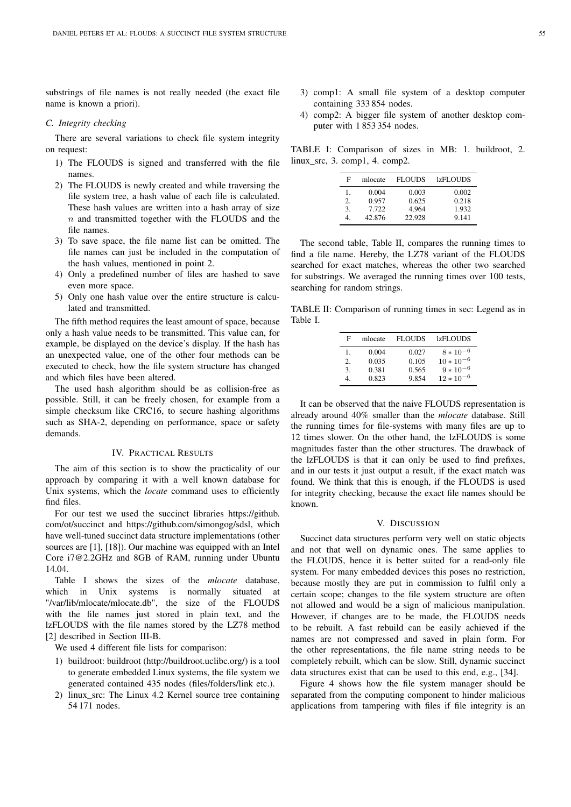substrings of file names is not really needed (the exact file name is known a priori).

### *C. Integrity checking*

There are several variations to check file system integrity on request:

- 1) The FLOUDS is signed and transferred with the file names.
- 2) The FLOUDS is newly created and while traversing the file system tree, a hash value of each file is calculated. These hash values are written into a hash array of size  $n$  and transmitted together with the FLOUDS and the file names.
- 3) To save space, the file name list can be omitted. The file names can just be included in the computation of the hash values, mentioned in point 2.
- 4) Only a predefined number of files are hashed to save even more space.
- 5) Only one hash value over the entire structure is calculated and transmitted.

The fifth method requires the least amount of space, because only a hash value needs to be transmitted. This value can, for example, be displayed on the device's display. If the hash has an unexpected value, one of the other four methods can be executed to check, how the file system structure has changed and which files have been altered.

The used hash algorithm should be as collision-free as possible. Still, it can be freely chosen, for example from a simple checksum like CRC16, to secure hashing algorithms such as SHA-2, depending on performance, space or safety demands.

### IV. PRACTICAL RESULTS

The aim of this section is to show the practicality of our approach by comparing it with a well known database for Unix systems, which the *locate* command uses to efficiently find files.

For our test we used the succinct libraries https://github. com/ot/succinct and https://github.com/simongog/sdsl, which have well-tuned succinct data structure implementations (other sources are [1], [18]). Our machine was equipped with an Intel Core i7@2.2GHz and 8GB of RAM, running under Ubuntu 14.04.

Table I shows the sizes of the *mlocate* database, which in Unix systems is normally situated at "/var/lib/mlocate/mlocate.db", the size of the FLOUDS with the file names just stored in plain text, and the lzFLOUDS with the file names stored by the LZ78 method [2] described in Section III-B.

We used 4 different file lists for comparison:

- 1) buildroot: buildroot (http://buildroot.uclibc.org/) is a tool to generate embedded Linux systems, the file system we generated contained 435 nodes (files/folders/link etc.).
- 2) linux\_src: The Linux 4.2 Kernel source tree containing 54 171 nodes.
- 3) comp1: A small file system of a desktop computer containing 333 854 nodes.
- 4) comp2: A bigger file system of another desktop computer with 1 853 354 nodes.

TABLE I: Comparison of sizes in MB: 1. buildroot, 2. linux\_src, 3. comp1, 4. comp2.

| F  | mlocate | <b>FLOUDS</b> | <b>lzFLOUDS</b> |
|----|---------|---------------|-----------------|
| 1. | 0.004   | 0.003         | 0.002           |
| 2. | 0.957   | 0.625         | 0.218           |
| 3. | 7.722   | 4.964         | 1.932           |
| 4  | 42.876  | 22.928        | 9.141           |

The second table, Table II, compares the running times to find a file name. Hereby, the LZ78 variant of the FLOUDS searched for exact matches, whereas the other two searched for substrings. We averaged the running times over 100 tests, searching for random strings.

TABLE II: Comparison of running times in sec: Legend as in Table I.

| F  | mlocate | <b>FLOUDS</b> | <b>IzFLOUDS</b> |
|----|---------|---------------|-----------------|
| 1. | 0.004   | 0.027         | $8 * 10^{-6}$   |
| 2. | 0.035   | 0.105         | $10 * 10^{-6}$  |
| 3. | 0.381   | 0.565         | $9 * 10^{-6}$   |
|    | 0.823   | 9854          | $12 * 10^{-6}$  |

It can be observed that the naive FLOUDS representation is already around 40% smaller than the *mlocate* database. Still the running times for file-systems with many files are up to 12 times slower. On the other hand, the lzFLOUDS is some magnitudes faster than the other structures. The drawback of the lzFLOUDS is that it can only be used to find prefixes, and in our tests it just output a result, if the exact match was found. We think that this is enough, if the FLOUDS is used for integrity checking, because the exact file names should be known.

### V. DISCUSSION

Succinct data structures perform very well on static objects and not that well on dynamic ones. The same applies to the FLOUDS, hence it is better suited for a read-only file system. For many embedded devices this poses no restriction, because mostly they are put in commission to fulfil only a certain scope; changes to the file system structure are often not allowed and would be a sign of malicious manipulation. However, if changes are to be made, the FLOUDS needs to be rebuilt. A fast rebuild can be easily achieved if the names are not compressed and saved in plain form. For the other representations, the file name string needs to be completely rebuilt, which can be slow. Still, dynamic succinct data structures exist that can be used to this end, e.g., [34].

Figure 4 shows how the file system manager should be separated from the computing component to hinder malicious applications from tampering with files if file integrity is an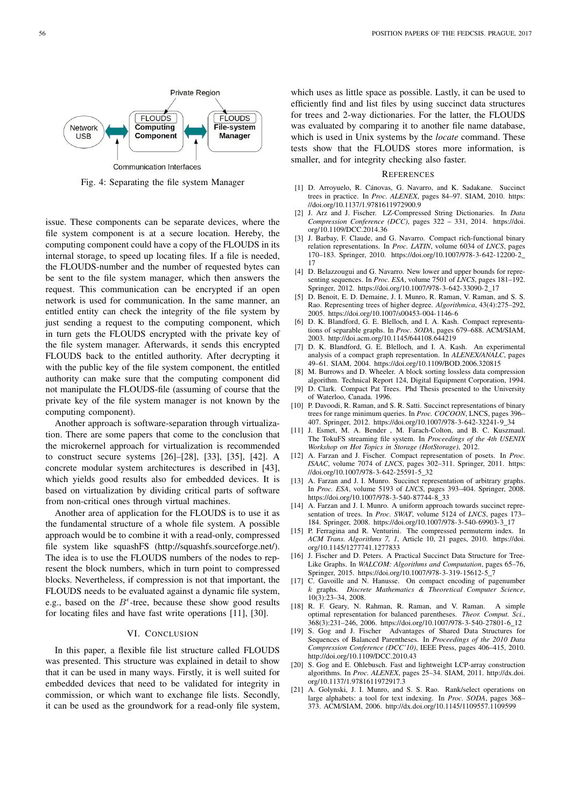

Fig. 4: Separating the file system Manager

issue. These components can be separate devices, where the file system component is at a secure location. Hereby, the computing component could have a copy of the FLOUDS in its internal storage, to speed up locating files. If a file is needed, the FLOUDS-number and the number of requested bytes can be sent to the file system manager, which then answers the request. This communication can be encrypted if an open network is used for communication. In the same manner, an entitled entity can check the integrity of the file system by just sending a request to the computing component, which in turn gets the FLOUDS encrypted with the private key of the file system manager. Afterwards, it sends this encrypted FLOUDS back to the entitled authority. After decrypting it with the public key of the file system component, the entitled authority can make sure that the computing component did not manipulate the FLOUDS-file (assuming of course that the private key of the file system manager is not known by the computing component).

Another approach is software-separation through virtualization. There are some papers that come to the conclusion that the microkernel approach for virtualization is recommended to construct secure systems [26]–[28], [33], [35], [42]. A concrete modular system architectures is described in [43], which yields good results also for embedded devices. It is based on virtualization by dividing critical parts of software from non-critical ones through virtual machines.

Another area of application for the FLOUDS is to use it as the fundamental structure of a whole file system. A possible approach would be to combine it with a read-only, compressed file system like squashFS (http://squashfs.sourceforge.net/). The idea is to use the FLOUDS numbers of the nodes to represent the block numbers, which in turn point to compressed blocks. Nevertheless, if compression is not that important, the FLOUDS needs to be evaluated against a dynamic file system, e.g., based on the  $B^{\epsilon}$ -tree, because these show good results for locating files and have fast write operations [11], [30].

### VI. CONCLUSION

In this paper, a flexible file list structure called FLOUDS was presented. This structure was explained in detail to show that it can be used in many ways. Firstly, it is well suited for embedded devices that need to be validated for integrity in commission, or which want to exchange file lists. Secondly, it can be used as the groundwork for a read-only file system,

which uses as little space as possible. Lastly, it can be used to efficiently find and list files by using succinct data structures for trees and 2-way dictionaries. For the latter, the FLOUDS was evaluated by comparing it to another file name database, which is used in Unix systems by the *locate* command. These tests show that the FLOUDS stores more information, is smaller, and for integrity checking also faster.

#### **REFERENCES**

- [1] D. Arroyuelo, R. Cánovas, G. Navarro, and K. Sadakane. Succinct trees in practice. In *Proc. ALENEX*, pages 84–97. SIAM, 2010. https: //doi.org/10.1137/1.9781611972900.9
- [2] J. Arz and J. Fischer. LZ-Compressed String Dictionaries. In *Data Compression Conference (DCC)*, pages 322 – 331, 2014. https://doi. org/10.1109/DCC.2014.36
- [3] J. Barbay, F. Claude, and G. Navarro. Compact rich-functional binary relation representations. In *Proc. LATIN*, volume 6034 of *LNCS*, pages 170–183. Springer, 2010. https://doi.org/10.1007/978-3-642-12200-2\_ 17
- [4] D. Belazzougui and G. Navarro. New lower and upper bounds for representing sequences. In *Proc. ESA*, volume 7501 of *LNCS*, pages 181–192. Springer, 2012. https://doi.org/10.1007/978-3-642-33090-2\_17
- [5] D. Benoit, E. D. Demaine, J. I. Munro, R. Raman, V. Raman, and S. S. Rao. Representing trees of higher degree. *Algorithmica*, 43(4):275–292, 2005. https://doi.org/10.1007/s00453-004-1146-6
- [6] D. K. Blandford, G. E. Blelloch, and I. A. Kash. Compact representations of separable graphs. In *Proc. SODA*, pages 679–688. ACM/SIAM, 2003. http://doi.acm.org/10.1145/644108.644219
- [7] D. K. Blandford, G. E. Blelloch, and I. A. Kash. An experimental analysis of a compact graph representation. In *ALENEX/ANALC*, pages 49–61. SIAM, 2004. https://doi.org/10.1109/BOD.2006.320815
- [8] M. Burrows and D. Wheeler. A block sorting lossless data compression algorithm. Technical Report 124, Digital Equipment Corporation, 1994.
- [9] D. Clark. Compact Pat Trees. Phd Thesis presented to the University of Waterloo, Canada. 1996.
- [10] P. Davoodi, R. Raman, and S. R. Satti. Succinct representations of binary trees for range minimum queries. In *Proc. COCOON*, LNCS, pages 396– 407. Springer, 2012. https://doi.org/10.1007/978-3-642-32241-9\_34
- [11] J. Esmet, M. A. Bender, M. Farach-Colton, and B. C. Kuszmaul. The TokuFS streaming file system. In *Proceedings of the 4th USENIX Workshop on Hot Topics in Storage (HotStorage)*, 2012.
- [12] A. Farzan and J. Fischer. Compact representation of posets. In *Proc. ISAAC*, volume 7074 of *LNCS*, pages 302–311. Springer, 2011. https: //doi.org/10.1007/978-3-642-25591-5\_32
- [13] A. Farzan and J. I. Munro. Succinct representation of arbitrary graphs. In *Proc. ESA*, volume 5193 of *LNCS*, pages 393–404. Springer, 2008. https://doi.org/10.1007/978-3-540-87744-8\_33
- [14] A. Farzan and J. I. Munro. A uniform approach towards succinct representation of trees. In *Proc. SWAT*, volume 5124 of *LNCS*, pages 173– 184. Springer, 2008. https://doi.org/10.1007/978-3-540-69903-3\_17
- [15] P. Ferragina and R. Venturini. The compressed permuterm index. In *ACM Trans. Algorithms 7, 1*, Article 10, 21 pages, 2010. https://doi. org/10.1145/1277741.1277833
- [16] J. Fischer and D. Peters. A Practical Succinct Data Structure for Tree-Like Graphs. In *WALCOM: Algorithms and Computation*, pages 65–76, Springer, 2015. https://doi.org/10.1007/978-3-319-15612-5\_7
- [17] C. Gavoille and N. Hanusse. On compact encoding of pagenumber k graphs. *Discrete Mathematics & Theoretical Computer Science*,  $10(3):23-34, 2008.$
- [18] R. F. Geary, N. Rahman, R. Raman, and V. Raman. A simple optimal representation for balanced parentheses. *Theor. Comput. Sci.*, 368(3):231–246, 2006. https://doi.org/10.1007/978-3-540-27801-6\_12
- [19] S. Gog and J. Fischer Advantages of Shared Data Structures for Sequences of Balanced Parentheses. In *Proceedings of the 2010 Data Compression Conference (DCC'10)*, IEEE Press, pages 406–415, 2010. http://doi.org/10.1109/DCC.2010.43
- [20] S. Gog and E. Ohlebusch. Fast and lightweight LCP-array construction algorithms. In *Proc. ALENEX*, pages 25–34. SIAM, 2011. http://dx.doi. org/10.1137/1.9781611972917.3
- [21] A. Golynski, J. I. Munro, and S. S. Rao. Rank/select operations on large alphabets: a tool for text indexing. In *Proc. SODA*, pages 368– 373. ACM/SIAM, 2006. http://dx.doi.org/10.1145/1109557.1109599